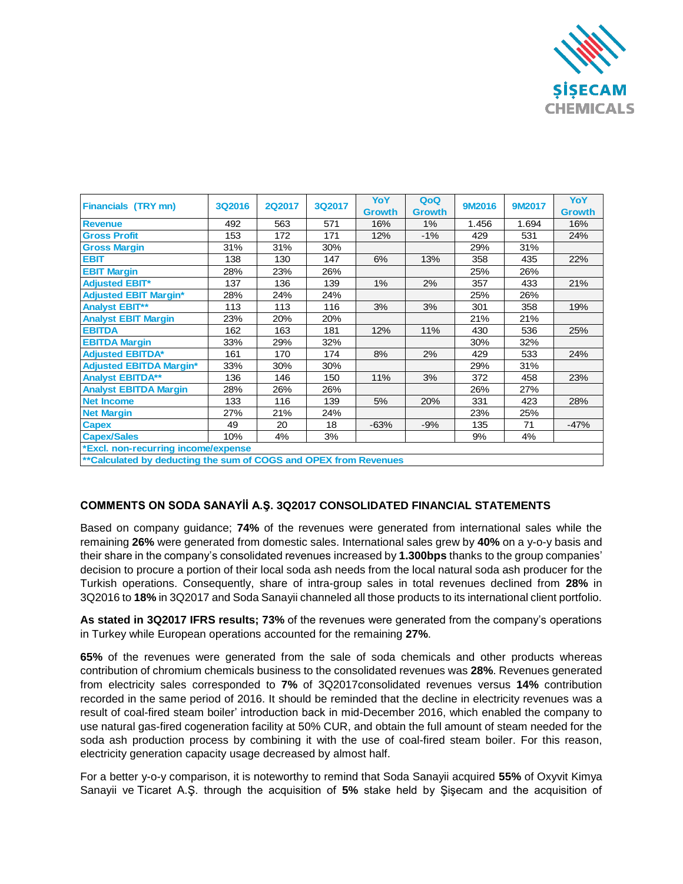

| <b>Financials (TRY mn)</b>                                       | <b>3Q2016</b> | <b>2Q2017</b> | 3Q2017 | YoY           | QoQ           | 9M2016 | <b>9M2017</b> | <b>YoY</b>    |
|------------------------------------------------------------------|---------------|---------------|--------|---------------|---------------|--------|---------------|---------------|
|                                                                  |               |               |        | <b>Growth</b> | <b>Growth</b> |        |               | <b>Growth</b> |
| <b>Revenue</b>                                                   | 492           | 563           | 571    | 16%           | $1\%$         | 1.456  | 1.694         | 16%           |
| <b>Gross Profit</b>                                              | 153           | 172           | 171    | 12%           | $-1%$         | 429    | 531           | 24%           |
| <b>Gross Margin</b>                                              | 31%           | 31%           | 30%    |               |               | 29%    | 31%           |               |
| <b>EBIT</b>                                                      | 138           | 130           | 147    | 6%            | 13%           | 358    | 435           | 22%           |
| <b>EBIT Margin</b>                                               | 28%           | 23%           | 26%    |               |               | 25%    | 26%           |               |
| <b>Adjusted EBIT*</b>                                            | 137           | 136           | 139    | 1%            | 2%            | 357    | 433           | 21%           |
| <b>Adjusted EBIT Margin*</b>                                     | 28%           | 24%           | 24%    |               |               | 25%    | 26%           |               |
| <b>Analyst EBIT**</b>                                            | 113           | 113           | 116    | 3%            | 3%            | 301    | 358           | 19%           |
| <b>Analyst EBIT Margin</b>                                       | 23%           | 20%           | 20%    |               |               | 21%    | 21%           |               |
| <b>EBITDA</b>                                                    | 162           | 163           | 181    | 12%           | 11%           | 430    | 536           | 25%           |
| <b>EBITDA Margin</b>                                             | 33%           | 29%           | 32%    |               |               | 30%    | 32%           |               |
| <b>Adjusted EBITDA*</b>                                          | 161           | 170           | 174    | 8%            | 2%            | 429    | 533           | 24%           |
| <b>Adjusted EBITDA Margin*</b>                                   | 33%           | 30%           | 30%    |               |               | 29%    | 31%           |               |
| <b>Analyst EBITDA**</b>                                          | 136           | 146           | 150    | 11%           | 3%            | 372    | 458           | 23%           |
| <b>Analyst EBITDA Margin</b>                                     | 28%           | 26%           | 26%    |               |               | 26%    | 27%           |               |
| <b>Net Income</b>                                                | 133           | 116           | 139    | 5%            | 20%           | 331    | 423           | 28%           |
| <b>Net Margin</b>                                                | 27%           | 21%           | 24%    |               |               | 23%    | 25%           |               |
| <b>Capex</b>                                                     | 49            | 20            | 18     | $-63%$        | $-9%$         | 135    | 71            | $-47%$        |
| <b>Capex/Sales</b>                                               | 10%           | 4%            | 3%     |               |               | 9%     | 4%            |               |
| *Excl. non-recurring income/expense                              |               |               |        |               |               |        |               |               |
| **Calculated by deducting the sum of COGS and OPEX from Revenues |               |               |        |               |               |        |               |               |

## **COMMENTS ON SODA SANAYİİ A.Ş. 3Q2017 CONSOLIDATED FINANCIAL STATEMENTS**

Based on company guidance; **74%** of the revenues were generated from international sales while the remaining **26%** were generated from domestic sales. International sales grew by **40%** on a y-o-y basis and their share in the company's consolidated revenues increased by **1.300bps** thanks to the group companies' decision to procure a portion of their local soda ash needs from the local natural soda ash producer for the Turkish operations. Consequently, share of intra-group sales in total revenues declined from **28%** in 3Q2016 to **18%** in 3Q2017 and Soda Sanayii channeled all those products to its international client portfolio.

**As stated in 3Q2017 IFRS results; 73%** of the revenues were generated from the company's operations in Turkey while European operations accounted for the remaining **27%**.

**65%** of the revenues were generated from the sale of soda chemicals and other products whereas contribution of chromium chemicals business to the consolidated revenues was **28%**. Revenues generated from electricity sales corresponded to **7%** of 3Q2017consolidated revenues versus **14%** contribution recorded in the same period of 2016. It should be reminded that the decline in electricity revenues was a result of coal-fired steam boiler' introduction back in mid-December 2016, which enabled the company to use natural gas-fired cogeneration facility at 50% CUR, and obtain the full amount of steam needed for the soda ash production process by combining it with the use of coal-fired steam boiler. For this reason, electricity generation capacity usage decreased by almost half.

For a better y-o-y comparison, it is noteworthy to remind that Soda Sanayii acquired **55%** of Oxyvit Kimya Sanayii ve Ticaret A.Ş. through the acquisition of **5%** stake held by Şişecam and the acquisition of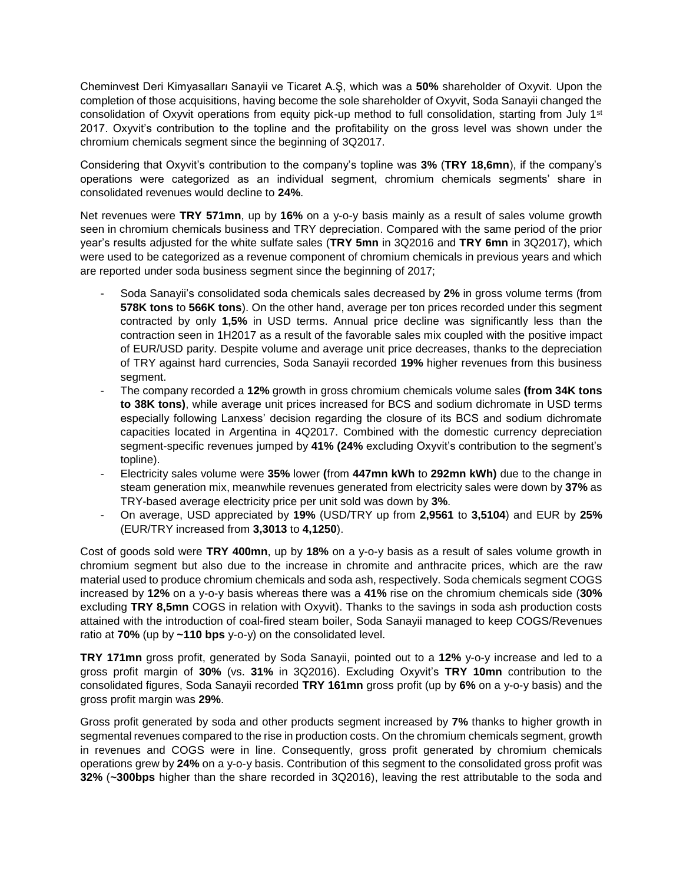Cheminvest Deri Kimyasalları Sanayii ve Ticaret A.Ş, which was a **50%** shareholder of Oxyvit. Upon the completion of those acquisitions, having become the sole shareholder of Oxyvit, Soda Sanayii changed the consolidation of Oxyvit operations from equity pick-up method to full consolidation, starting from July 1<sup>st</sup> 2017. Oxyvit's contribution to the topline and the profitability on the gross level was shown under the chromium chemicals segment since the beginning of 3Q2017.

Considering that Oxyvit's contribution to the company's topline was **3%** (**TRY 18,6mn**), if the company's operations were categorized as an individual segment, chromium chemicals segments' share in consolidated revenues would decline to **24%**.

Net revenues were **TRY 571mn**, up by **16%** on a y-o-y basis mainly as a result of sales volume growth seen in chromium chemicals business and TRY depreciation. Compared with the same period of the prior year's results adjusted for the white sulfate sales (**TRY 5mn** in 3Q2016 and **TRY 6mn** in 3Q2017), which were used to be categorized as a revenue component of chromium chemicals in previous years and which are reported under soda business segment since the beginning of 2017;

- Soda Sanayii's consolidated soda chemicals sales decreased by **2%** in gross volume terms (from **578K tons** to **566K tons**). On the other hand, average per ton prices recorded under this segment contracted by only **1,5%** in USD terms. Annual price decline was significantly less than the contraction seen in 1H2017 as a result of the favorable sales mix coupled with the positive impact of EUR/USD parity. Despite volume and average unit price decreases, thanks to the depreciation of TRY against hard currencies, Soda Sanayii recorded **19%** higher revenues from this business seament.
- The company recorded a **12%** growth in gross chromium chemicals volume sales **(from 34K tons to 38K tons)**, while average unit prices increased for BCS and sodium dichromate in USD terms especially following Lanxess' decision regarding the closure of its BCS and sodium dichromate capacities located in Argentina in 4Q2017. Combined with the domestic currency depreciation segment-specific revenues jumped by **41% (24%** excluding Oxyvit's contribution to the segment's topline).
- Electricity sales volume were **35%** lower **(**from **447mn kWh** to **292mn kWh)** due to the change in steam generation mix, meanwhile revenues generated from electricity sales were down by **37%** as TRY-based average electricity price per unit sold was down by **3%**.
- On average, USD appreciated by **19%** (USD/TRY up from **2,9561** to **3,5104**) and EUR by **25%** (EUR/TRY increased from **3,3013** to **4,1250**).

Cost of goods sold were **TRY 400mn**, up by **18%** on a y-o-y basis as a result of sales volume growth in chromium segment but also due to the increase in chromite and anthracite prices, which are the raw material used to produce chromium chemicals and soda ash, respectively. Soda chemicals segment COGS increased by **12%** on a y-o-y basis whereas there was a **41%** rise on the chromium chemicals side (**30%** excluding **TRY 8,5mn** COGS in relation with Oxyvit). Thanks to the savings in soda ash production costs attained with the introduction of coal-fired steam boiler, Soda Sanayii managed to keep COGS/Revenues ratio at **70%** (up by **~110 bps** y-o-y) on the consolidated level.

**TRY 171mn** gross profit, generated by Soda Sanayii, pointed out to a **12%** y-o-y increase and led to a gross profit margin of **30%** (vs. **31%** in 3Q2016). Excluding Oxyvit's **TRY 10mn** contribution to the consolidated figures, Soda Sanayii recorded **TRY 161mn** gross profit (up by **6%** on a y-o-y basis) and the gross profit margin was **29%**.

Gross profit generated by soda and other products segment increased by **7%** thanks to higher growth in segmental revenues compared to the rise in production costs. On the chromium chemicals segment, growth in revenues and COGS were in line. Consequently, gross profit generated by chromium chemicals operations grew by **24%** on a y-o-y basis. Contribution of this segment to the consolidated gross profit was **32%** (**~300bps** higher than the share recorded in 3Q2016), leaving the rest attributable to the soda and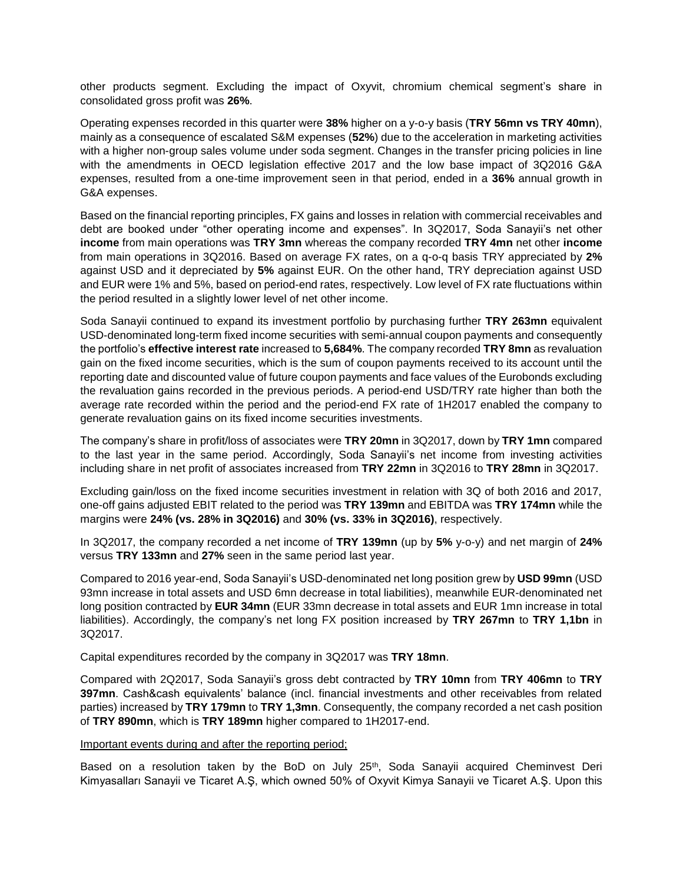other products segment. Excluding the impact of Oxyvit, chromium chemical segment's share in consolidated gross profit was **26%**.

Operating expenses recorded in this quarter were **38%** higher on a y-o-y basis (**TRY 56mn vs TRY 40mn**), mainly as a consequence of escalated S&M expenses (**52%**) due to the acceleration in marketing activities with a higher non-group sales volume under soda segment. Changes in the transfer pricing policies in line with the amendments in OECD legislation effective 2017 and the low base impact of 3Q2016 G&A expenses, resulted from a one-time improvement seen in that period, ended in a **36%** annual growth in G&A expenses.

Based on the financial reporting principles, FX gains and losses in relation with commercial receivables and debt are booked under "other operating income and expenses". In 3Q2017, Soda Sanayii's net other **income** from main operations was **TRY 3mn** whereas the company recorded **TRY 4mn** net other **income** from main operations in 3Q2016. Based on average FX rates, on a q-o-q basis TRY appreciated by **2%** against USD and it depreciated by **5%** against EUR. On the other hand, TRY depreciation against USD and EUR were 1% and 5%, based on period-end rates, respectively. Low level of FX rate fluctuations within the period resulted in a slightly lower level of net other income.

Soda Sanayii continued to expand its investment portfolio by purchasing further **TRY 263mn** equivalent USD-denominated long-term fixed income securities with semi-annual coupon payments and consequently the portfolio's **effective interest rate** increased to **5,684%**. The company recorded **TRY 8mn** as revaluation gain on the fixed income securities, which is the sum of coupon payments received to its account until the reporting date and discounted value of future coupon payments and face values of the Eurobonds excluding the revaluation gains recorded in the previous periods. A period-end USD/TRY rate higher than both the average rate recorded within the period and the period-end FX rate of 1H2017 enabled the company to generate revaluation gains on its fixed income securities investments.

The company's share in profit/loss of associates were **TRY 20mn** in 3Q2017, down by **TRY 1mn** compared to the last year in the same period. Accordingly, Soda Sanayii's net income from investing activities including share in net profit of associates increased from **TRY 22mn** in 3Q2016 to **TRY 28mn** in 3Q2017.

Excluding gain/loss on the fixed income securities investment in relation with 3Q of both 2016 and 2017, one-off gains adjusted EBIT related to the period was **TRY 139mn** and EBITDA was **TRY 174mn** while the margins were **24% (vs. 28% in 3Q2016)** and **30% (vs. 33% in 3Q2016)**, respectively.

In 3Q2017, the company recorded a net income of **TRY 139mn** (up by **5%** y-o-y) and net margin of **24%** versus **TRY 133mn** and **27%** seen in the same period last year.

Compared to 2016 year-end, Soda Sanayii's USD-denominated net long position grew by **USD 99mn** (USD 93mn increase in total assets and USD 6mn decrease in total liabilities), meanwhile EUR-denominated net long position contracted by **EUR 34mn** (EUR 33mn decrease in total assets and EUR 1mn increase in total liabilities). Accordingly, the company's net long FX position increased by **TRY 267mn** to **TRY 1,1bn** in 3Q2017.

Capital expenditures recorded by the company in 3Q2017 was **TRY 18mn**.

Compared with 2Q2017, Soda Sanayii's gross debt contracted by **TRY 10mn** from **TRY 406mn** to **TRY 397mn**. Cash&cash equivalents' balance (incl. financial investments and other receivables from related parties) increased by **TRY 179mn** to **TRY 1,3mn**. Consequently, the company recorded a net cash position of **TRY 890mn**, which is **TRY 189mn** higher compared to 1H2017-end.

## Important events during and after the reporting period;

Based on a resolution taken by the BoD on July 25<sup>th</sup>, Soda Sanayii acquired Cheminvest Deri Kimyasalları Sanayii ve Ticaret A.Ş, which owned 50% of Oxyvit Kimya Sanayii ve Ticaret A.Ş. Upon this